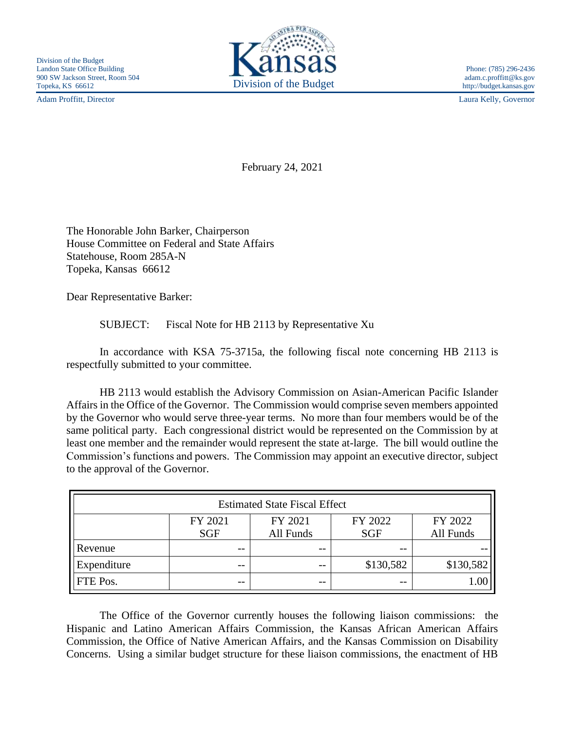Adam Proffitt, Director Laura Kelly, Governor



http://budget.kansas.gov

February 24, 2021

The Honorable John Barker, Chairperson House Committee on Federal and State Affairs Statehouse, Room 285A-N Topeka, Kansas 66612

Dear Representative Barker:

SUBJECT: Fiscal Note for HB 2113 by Representative Xu

In accordance with KSA 75-3715a, the following fiscal note concerning HB 2113 is respectfully submitted to your committee.

HB 2113 would establish the Advisory Commission on Asian-American Pacific Islander Affairs in the Office of the Governor. The Commission would comprise seven members appointed by the Governor who would serve three-year terms. No more than four members would be of the same political party. Each congressional district would be represented on the Commission by at least one member and the remainder would represent the state at-large. The bill would outline the Commission's functions and powers. The Commission may appoint an executive director, subject to the approval of the Governor.

| <b>Estimated State Fiscal Effect</b> |            |           |            |           |
|--------------------------------------|------------|-----------|------------|-----------|
|                                      | FY 2021    | FY 2021   | FY 2022    | FY 2022   |
|                                      | <b>SGF</b> | All Funds | <b>SGF</b> | All Funds |
| Revenue                              | --         | $ -$      | $- -$      |           |
| Expenditure                          | --         | --        | \$130,582  | \$130,582 |
| FTE Pos.                             | --         | --        | --         |           |

The Office of the Governor currently houses the following liaison commissions: the Hispanic and Latino American Affairs Commission, the Kansas African American Affairs Commission, the Office of Native American Affairs, and the Kansas Commission on Disability Concerns. Using a similar budget structure for these liaison commissions, the enactment of HB